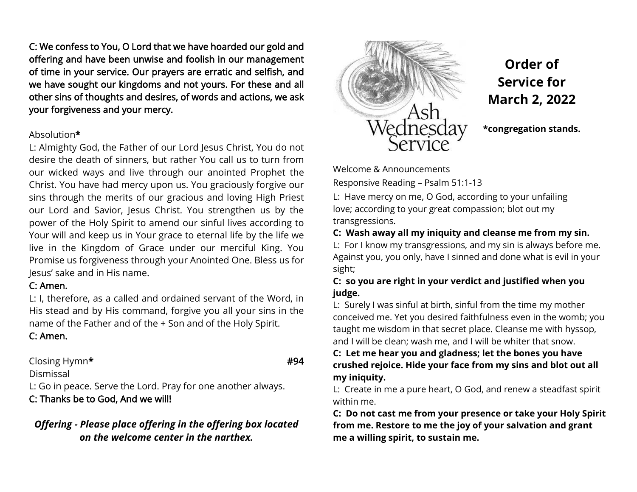C: We confess to You, O Lord that we have hoarded our gold and offering and have been unwise and foolish in our management of time in your service. Our prayers are erratic and selfish, and we have sought our kingdoms and not yours. For these and all other sins of thoughts and desires, of words and actions, we ask your forgiveness and your mercy.

### Absolution\*

L: Almighty God, the Father of our Lord Jesus Christ, You do not desire the death of sinners, but rather You call us to turn from our wicked ways and live through our anointed Prophet the Christ. You have had mercy upon us. You graciously forgive our sins through the merits of our gracious and loving High Priest our Lord and Savior, Jesus Christ. You strengthen us by the power of the Holy Spirit to amend our sinful lives according to Your will and keep us in Your grace to eternal life by the life we live in the Kingdom of Grace under our merciful King. You Promise us forgiveness through your Anointed One. Bless us for Jesus' sake and in His name.

## C: Amen.

L: I, therefore, as a called and ordained servant of the Word, in His stead and by His command, forgive you all your sins in the name of the Father and of the + Son and of the Holy Spirit.

# C: Amen.

Closing Hymn\* **#94** 

Dismissal L: Go in peace. Serve the Lord. Pray for one another always.

# C: Thanks be to God, And we will!

# *Offering - Please place offering in the offering box located on the welcome center in the narthex.*



**Order of Service for March 2, 2022**

**\*congregation stands.**

Welcome & Announcements

Responsive Reading – Psalm 51:1-13

L: Have mercy on me, O God, according to your unfailing love; according to your great compassion; blot out my transgressions.

**C: Wash away all my iniquity and cleanse me from my sin.**

L: For I know my transgressions, and my sin is always before me. Against you, you only, have I sinned and done what is evil in your sight;

**C: so you are right in your verdict and justified when you judge.**

L: Surely I was sinful at birth, sinful from the time my mother conceived me. Yet you desired faithfulness even in the womb; you taught me wisdom in that secret place. Cleanse me with hyssop, and I will be clean; wash me, and I will be whiter that snow.

### **C: Let me hear you and gladness; let the bones you have crushed rejoice. Hide your face from my sins and blot out all my iniquity.**

L: Create in me a pure heart, O God, and renew a steadfast spirit within me.

**C: Do not cast me from your presence or take your Holy Spirit from me. Restore to me the joy of your salvation and grant me a willing spirit, to sustain me.**